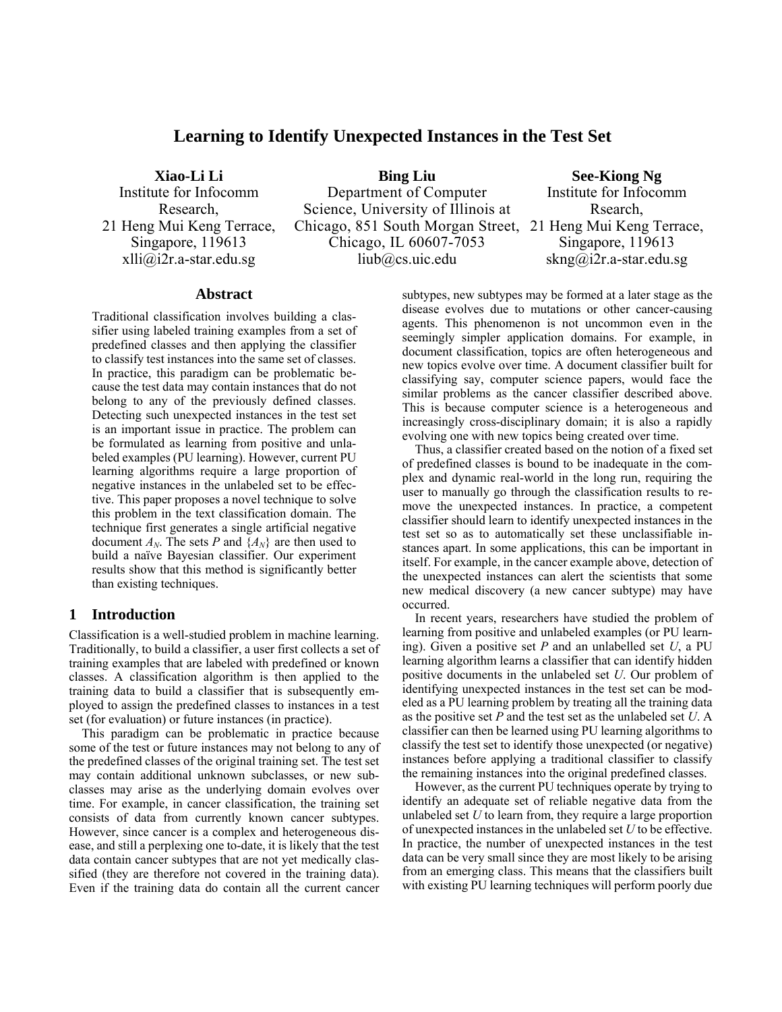# **Learning to Identify Unexpected Instances in the Test Set**

**Xiao-Li Li**  Institute for Infocomm Research, 21 Heng Mui Keng Terrace, Singapore, 119613 xlli@i2r.a-star.edu.sg

**Bing Liu**  Department of Computer Science, University of Illinois at Chicago, 851 South Morgan Street, 21 Heng Mui Keng Terrace, Chicago, IL 60607-7053 liub@cs.uic.edu

**See-Kiong Ng**  Institute for Infocomm Rsearch, Singapore, 119613 skng@i2r.a-star.edu.sg

## **Abstract**

Traditional classification involves building a classifier using labeled training examples from a set of predefined classes and then applying the classifier to classify test instances into the same set of classes. In practice, this paradigm can be problematic because the test data may contain instances that do not belong to any of the previously defined classes. Detecting such unexpected instances in the test set is an important issue in practice. The problem can be formulated as learning from positive and unlabeled examples (PU learning). However, current PU learning algorithms require a large proportion of negative instances in the unlabeled set to be effective. This paper proposes a novel technique to solve this problem in the text classification domain. The technique first generates a single artificial negative document  $A_N$ . The sets *P* and  $\{A_N\}$  are then used to build a naïve Bayesian classifier. Our experiment results show that this method is significantly better than existing techniques.

## **1 Introduction**

Classification is a well-studied problem in machine learning. Traditionally, to build a classifier, a user first collects a set of training examples that are labeled with predefined or known classes. A classification algorithm is then applied to the training data to build a classifier that is subsequently employed to assign the predefined classes to instances in a test set (for evaluation) or future instances (in practice).

This paradigm can be problematic in practice because some of the test or future instances may not belong to any of the predefined classes of the original training set. The test set may contain additional unknown subclasses, or new subclasses may arise as the underlying domain evolves over time. For example, in cancer classification, the training set consists of data from currently known cancer subtypes. However, since cancer is a complex and heterogeneous disease, and still a perplexing one to-date, it is likely that the test data contain cancer subtypes that are not yet medically classified (they are therefore not covered in the training data). Even if the training data do contain all the current cancer

subtypes, new subtypes may be formed at a later stage as the disease evolves due to mutations or other cancer-causing agents. This phenomenon is not uncommon even in the seemingly simpler application domains. For example, in document classification, topics are often heterogeneous and new topics evolve over time. A document classifier built for classifying say, computer science papers, would face the similar problems as the cancer classifier described above. This is because computer science is a heterogeneous and increasingly cross-disciplinary domain; it is also a rapidly evolving one with new topics being created over time.

Thus, a classifier created based on the notion of a fixed set of predefined classes is bound to be inadequate in the complex and dynamic real-world in the long run, requiring the user to manually go through the classification results to remove the unexpected instances. In practice, a competent classifier should learn to identify unexpected instances in the test set so as to automatically set these unclassifiable instances apart. In some applications, this can be important in itself. For example, in the cancer example above, detection of the unexpected instances can alert the scientists that some new medical discovery (a new cancer subtype) may have occurred.

In recent years, researchers have studied the problem of learning from positive and unlabeled examples (or PU learning). Given a positive set *P* and an unlabelled set *U*, a PU learning algorithm learns a classifier that can identify hidden positive documents in the unlabeled set *U*. Our problem of identifying unexpected instances in the test set can be modeled as a PU learning problem by treating all the training data as the positive set *P* and the test set as the unlabeled set *U*. A classifier can then be learned using PU learning algorithms to classify the test set to identify those unexpected (or negative) instances before applying a traditional classifier to classify the remaining instances into the original predefined classes.

However, as the current PU techniques operate by trying to identify an adequate set of reliable negative data from the unlabeled set *U* to learn from, they require a large proportion of unexpected instances in the unlabeled set *U* to be effective. In practice, the number of unexpected instances in the test data can be very small since they are most likely to be arising from an emerging class. This means that the classifiers built with existing PU learning techniques will perform poorly due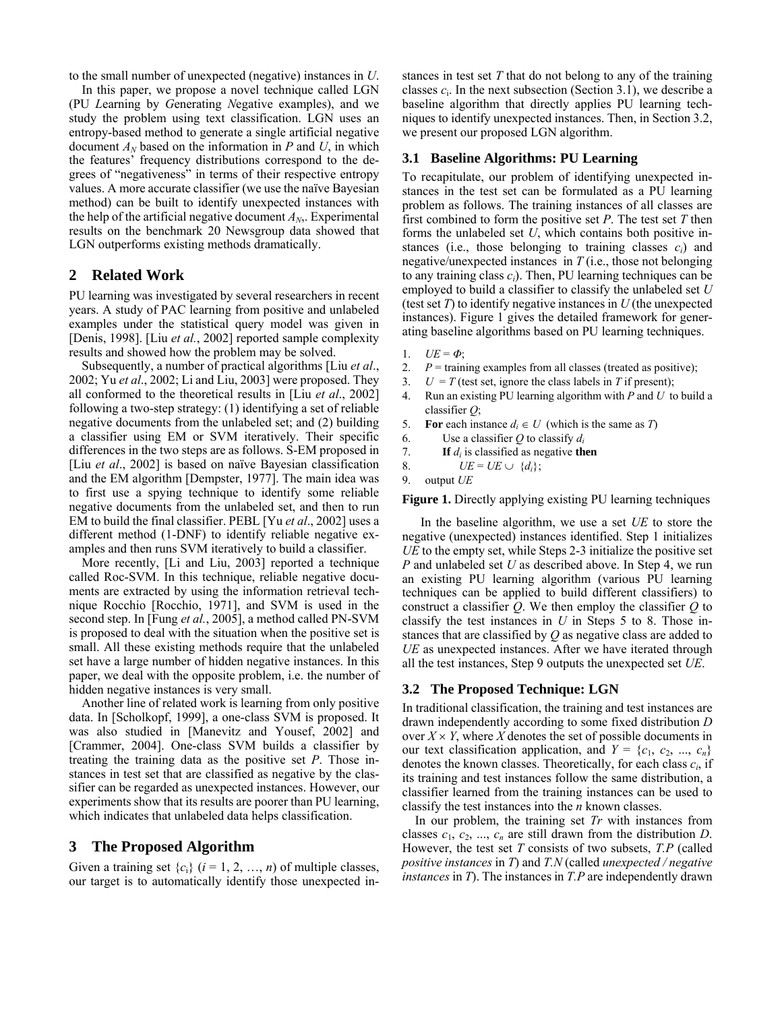to the small number of unexpected (negative) instances in *U*.

In this paper, we propose a novel technique called LGN (PU *L*earning by *G*enerating *N*egative examples), and we study the problem using text classification. LGN uses an entropy-based method to generate a single artificial negative document  $A_N$  based on the information in *P* and *U*, in which the features' frequency distributions correspond to the degrees of "negativeness" in terms of their respective entropy values. A more accurate classifier (we use the naïve Bayesian method) can be built to identify unexpected instances with the help of the artificial negative document *AN*,. Experimental results on the benchmark 20 Newsgroup data showed that LGN outperforms existing methods dramatically.

## **2 Related Work**

PU learning was investigated by several researchers in recent years. A study of PAC learning from positive and unlabeled examples under the statistical query model was given in [Denis, 1998]. [Liu *et al.*, 2002] reported sample complexity results and showed how the problem may be solved.

Subsequently, a number of practical algorithms [Liu *et al*., 2002; Yu *et al*., 2002; Li and Liu, 2003] were proposed. They all conformed to the theoretical results in [Liu *et al*., 2002] following a two-step strategy: (1) identifying a set of reliable negative documents from the unlabeled set; and (2) building a classifier using EM or SVM iteratively. Their specific differences in the two steps are as follows. S-EM proposed in [Liu *et al*., 2002] is based on naïve Bayesian classification and the EM algorithm [Dempster, 1977]. The main idea was to first use a spying technique to identify some reliable negative documents from the unlabeled set, and then to run EM to build the final classifier. PEBL [Yu *et al*., 2002] uses a different method (1-DNF) to identify reliable negative examples and then runs SVM iteratively to build a classifier.

More recently, [Li and Liu, 2003] reported a technique called Roc-SVM. In this technique, reliable negative documents are extracted by using the information retrieval technique Rocchio [Rocchio, 1971], and SVM is used in the second step. In [Fung *et al.*, 2005], a method called PN-SVM is proposed to deal with the situation when the positive set is small. All these existing methods require that the unlabeled set have a large number of hidden negative instances. In this paper, we deal with the opposite problem, i.e. the number of hidden negative instances is very small.

Another line of related work is learning from only positive data. In [Scholkopf, 1999], a one-class SVM is proposed. It was also studied in [Manevitz and Yousef, 2002] and [Crammer, 2004]. One-class SVM builds a classifier by treating the training data as the positive set *P*. Those instances in test set that are classified as negative by the classifier can be regarded as unexpected instances. However, our experiments show that its results are poorer than PU learning, which indicates that unlabeled data helps classification.

## **3 The Proposed Algorithm**

Given a training set  $\{c_i\}$  ( $i = 1, 2, ..., n$ ) of multiple classes, our target is to automatically identify those unexpected instances in test set *T* that do not belong to any of the training classes  $c_i$ . In the next subsection (Section 3.1), we describe a baseline algorithm that directly applies PU learning techniques to identify unexpected instances. Then, in Section 3.2, we present our proposed LGN algorithm.

#### **3.1 Baseline Algorithms: PU Learning**

To recapitulate, our problem of identifying unexpected instances in the test set can be formulated as a PU learning problem as follows. The training instances of all classes are first combined to form the positive set *P*. The test set *T* then forms the unlabeled set *U*, which contains both positive instances (i.e., those belonging to training classes  $c_i$ ) and negative/unexpected instances in *T* (i.e., those not belonging to any training class  $c_i$ ). Then, PU learning techniques can be employed to build a classifier to classify the unlabeled set *U* (test set *T*) to identify negative instances in *U* (the unexpected instances). Figure 1 gives the detailed framework for generating baseline algorithms based on PU learning techniques.

- 1.  $UE = \Phi$ ;
- 2.  $P = \text{training examples from all classes (treated as positive)}$ :
- 3.  $U = T$  (test set, ignore the class labels in *T* if present);
- 4. Run an existing PU learning algorithm with *P* and *U* to build a classifier *Q*;
- 5. **For** each instance  $d_i \in U$  (which is the same as *T*)
- 6. Use a classifier *Q* to classify *di*
- 7. **If** *di* is classified as negative **then**
- 8.  $UE = UE \cup \{d_i\};$
- 9. output *UE*

**Figure 1.** Directly applying existing PU learning techniques

 In the baseline algorithm, we use a set *UE* to store the negative (unexpected) instances identified. Step 1 initializes *UE* to the empty set, while Steps 2-3 initialize the positive set *P* and unlabeled set *U* as described above. In Step 4, we run an existing PU learning algorithm (various PU learning techniques can be applied to build different classifiers) to construct a classifier *Q*. We then employ the classifier *Q* to classify the test instances in *U* in Steps 5 to 8. Those instances that are classified by *Q* as negative class are added to *UE* as unexpected instances. After we have iterated through all the test instances, Step 9 outputs the unexpected set *UE*.

#### **3.2 The Proposed Technique: LGN**

In traditional classification, the training and test instances are drawn independently according to some fixed distribution *D* over  $X \times Y$ , where *X* denotes the set of possible documents in our text classification application, and  $Y = \{c_1, c_2, ..., c_n\}$ denotes the known classes. Theoretically, for each class *ci*, if its training and test instances follow the same distribution, a classifier learned from the training instances can be used to classify the test instances into the *n* known classes.

In our problem, the training set *Tr* with instances from classes  $c_1, c_2, ..., c_n$  are still drawn from the distribution *D*. However, the test set *T* consists of two subsets, *T.P* (called *positive instances* in *T*) and *T.N* (called *unexpected / negative instances* in *T*). The instances in *T.P* are independently drawn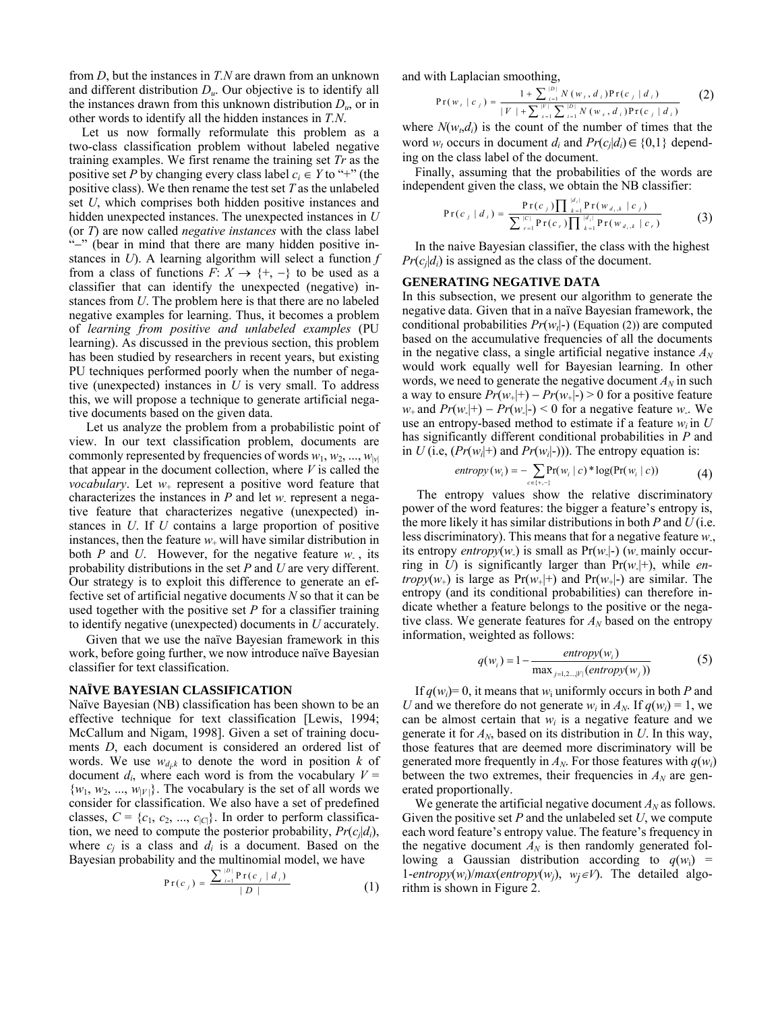from *D*, but the instances in *T.N* are drawn from an unknown and different distribution  $D<sub>u</sub>$ . Our objective is to identify all the instances drawn from this unknown distribution *Du*, or in other words to identify all the hidden instances in *T.N*.

Let us now formally reformulate this problem as a two-class classification problem without labeled negative training examples. We first rename the training set *Tr* as the positive set *P* by changing every class label  $c_i \in Y$  to "+" (the positive class). We then rename the test set *T* as the unlabeled set *U*, which comprises both hidden positive instances and hidden unexpected instances. The unexpected instances in *U* (or *T*) are now called *negative instances* with the class label "−" (bear in mind that there are many hidden positive instances in *U*). A learning algorithm will select a function *f* from a class of functions  $F: X \to \{+, -\}$  to be used as a classifier that can identify the unexpected (negative) instances from *U*. The problem here is that there are no labeled negative examples for learning. Thus, it becomes a problem of *learning from positive and unlabeled examples* (PU learning). As discussed in the previous section, this problem has been studied by researchers in recent years, but existing PU techniques performed poorly when the number of negative (unexpected) instances in *U* is very small. To address this, we will propose a technique to generate artificial negative documents based on the given data.

Let us analyze the problem from a probabilistic point of view. In our text classification problem, documents are commonly represented by frequencies of words  $w_1, w_2, ..., w_{|v|}$ that appear in the document collection, where *V* is called the *vocabulary*. Let *w*+ represent a positive word feature that characterizes the instances in *P* and let *w*- represent a negative feature that characterizes negative (unexpected) instances in *U*. If *U* contains a large proportion of positive instances, then the feature  $w_+$  will have similar distribution in both *P* and *U*. However, for the negative feature *w*- , its probability distributions in the set *P* and *U* are very different. Our strategy is to exploit this difference to generate an effective set of artificial negative documents *N* so that it can be used together with the positive set *P* for a classifier training to identify negative (unexpected) documents in *U* accurately.

Given that we use the naïve Bayesian framework in this work, before going further, we now introduce naïve Bayesian classifier for text classification.

#### **NAÏVE BAYESIAN CLASSIFICATION**

Naïve Bayesian (NB) classification has been shown to be an effective technique for text classification [Lewis, 1994; McCallum and Nigam, 1998]. Given a set of training documents *D*, each document is considered an ordered list of words. We use  $w_{d_k k}$  to denote the word in position  $k$  of document  $d_i$ , where each word is from the vocabulary  $V =$  $\{w_1, w_2, ..., w_{|V|}\}.$  The vocabulary is the set of all words we consider for classification. We also have a set of predefined classes,  $C = \{c_1, c_2, ..., c_{|C|}\}\$ . In order to perform classification, we need to compute the posterior probability,  $Pr(c_i|d_i)$ , where  $c_i$  is a class and  $d_i$  is a document. Based on the Bayesian probability and the multinomial model, we have

$$
Pr(c_j) = \frac{\sum_{i=1}^{|D|} Pr(c_j | d_i)}{|D|}
$$
 (1)

and with Laplacian smoothing,

$$
Pr(w_i | c_j) = \frac{1 + \sum_{i=1}^{|D|} N(w_i, d_i) Pr(c_j | d_i)}{|V| + \sum_{s=1}^{|V|} \sum_{i=1}^{|D|} N(w_s, d_i) Pr(c_j | d_i)}
$$
(2)

where  $N(w_t, d_i)$  is the count of the number of times that the word  $w_t$  occurs in document  $d_i$  and  $Pr(c_i|d_i) \in \{0,1\}$  depending on the class label of the document.

Finally, assuming that the probabilities of the words are independent given the class, we obtain the NB classifier:

$$
Pr(c_j | d_i) = \frac{Pr(c_j) \prod_{k=1}^{|d_i|} Pr(w_{d_i,k} | c_j)}{\sum_{r=1}^{|C|} Pr(c_r) \prod_{k=1}^{|d_i|} Pr(w_{d_i,k} | c_r)}
$$
(3)

In the naive Bayesian classifier, the class with the highest  $Pr(c_i|d_i)$  is assigned as the class of the document.

#### **GENERATING NEGATIVE DATA**

In this subsection, we present our algorithm to generate the negative data. Given that in a naïve Bayesian framework, the conditional probabilities  $Pr(w_t|-\)$  (Equation (2)) are computed based on the accumulative frequencies of all the documents in the negative class, a single artificial negative instance  $A_N$ would work equally well for Bayesian learning. In other words, we need to generate the negative document  $A_N$  in such a way to ensure  $Pr(w_{+}|+) - Pr(w_{+}|-) > 0$  for a positive feature *w*+ and  $Pr(w|+) - Pr(w|-) < 0$  for a negative feature *w*.. We use an entropy-based method to estimate if a feature  $w_i$  in  $U$ has significantly different conditional probabilities in *P* and in *U* (i.e,  $(Pr(w_i|+)$  and  $Pr(w_i|-))$ ). The entropy equation is:

$$
entropy(w_i) = -\sum_{c \in \{+, -\}} Pr(w_i \mid c) * log(Pr(w_i \mid c)) \tag{4}
$$

The entropy values show the relative discriminatory power of the word features: the bigger a feature's entropy is, the more likely it has similar distributions in both *P* and *U* (i.e. less discriminatory). This means that for a negative feature *w*-, its entropy *entropy* $(w)$  is small as  $Pr(w|-)$   $(w_1)$  mainly occurring in *U*) is significantly larger than  $Pr(w|+)$ , while *entropy*( $w_+$ ) is large as Pr( $w_+$ |+) and Pr( $w_+$ |-) are similar. The entropy (and its conditional probabilities) can therefore indicate whether a feature belongs to the positive or the negative class. We generate features for  $A_N$  based on the entropy information, weighted as follows:

$$
q(w_i) = 1 - \frac{entropy(w_i)}{\max_{j=1,2\ldots,|\mathcal{V}|} (entropy(w_j))}
$$
 (5)

If  $q(w_i)=0$ , it means that  $w_i$  uniformly occurs in both *P* and *U* and we therefore do not generate  $w_i$  in  $A_N$ . If  $q(w_i) = 1$ , we can be almost certain that  $w_i$  is a negative feature and we generate it for  $A_N$ , based on its distribution in U. In this way, those features that are deemed more discriminatory will be generated more frequently in  $A_N$ . For those features with  $q(w_i)$ between the two extremes, their frequencies in  $A_N$  are generated proportionally.

We generate the artificial negative document  $A_N$  as follows. Given the positive set *P* and the unlabeled set *U*, we compute each word feature's entropy value. The feature's frequency in the negative document  $A_N$  is then randomly generated following a Gaussian distribution according to  $q(w_i)$  = 1-*entropy*( $w_i$ )/*max*(*entropy*( $w_i$ ),  $w_i \in V$ ). The detailed algorithm is shown in Figure 2.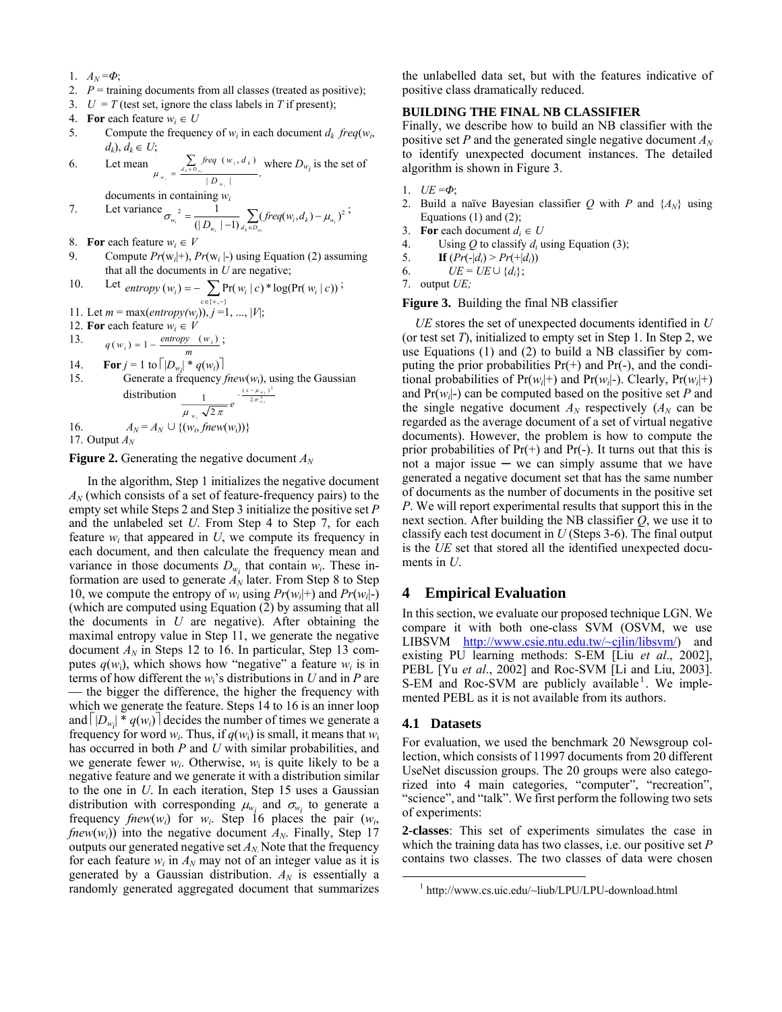- 1.  $A_N = \Phi$ ;
- 2.  $P = \text{training documents from all classes (treated as positive)};$
- 3.  $U = T$  (test set, ignore the class labels in *T* if present);
- 4. **For** each feature  $w_i \in U$
- 5. Compute the frequency of  $w_i$  in each document  $d_k$  freq( $w_i$ ), *d<sub>k</sub>*), *d<sub>k</sub>* ∈ *U*;

6. Let mean 
$$
\mu_{w_i} = \frac{\sum_{a_i \in D_{w_i}} freq(v_i, d_k)}{|D_{w_i}|}
$$
, where  $D_{w_i}$  is the set of documents in containing  $w_i$ .

7. Let variance 
$$
\sigma_{w_i}^2 = \frac{1}{(|D_{w_i}| - 1)} \sum_{d_k \in D_{w_i}} (freq(w_i, d_k) - \mu_{w_i})^2
$$
;

- 8. **For** each feature  $w_i \in V$
- 9. Compute *Pr*(w*i*|+), *Pr*(w*i* |-) using Equation (2) assuming that all the documents in *U* are negative;

10. Let 
$$
entropy(w_i) = -\sum_{c \in \{+, -\}} Pr(w_i \mid c)^* log(Pr(w_i \mid c))
$$
;

- 11. Let  $m = \max(entropy(w_i)), j = 1, ..., |V|;$
- 12. **For** each feature  $w_i \in V$

13. 
$$
q(w_i) = 1 - \frac{entropy(w_i)}{}
$$
;

14. **For** 
$$
j = 1
$$
 to  $\lceil |D_{w_i}| * q(w_i) \rceil$   
\n15. Generate a frequency *few*(*w<sub>i</sub>*), using the Gaussian distribution  
\n
$$
\frac{1}{\mu_{w_i} \sqrt{2\pi}} e^{-\frac{(x-\mu_{w_i})^2}{2\sigma_{w_i}^2}}
$$
\n16.  $A_N = A_N \cup \{(w_i, \text{few}(w_i))\}$ 

17. Output 
$$
A_N
$$

**Figure 2.** Generating the negative document  $A_N$ 

In the algorithm, Step 1 initializes the negative document  $A_N$  (which consists of a set of feature-frequency pairs) to the empty set while Steps 2 and Step 3 initialize the positive set *P*  and the unlabeled set *U*. From Step 4 to Step 7, for each feature  $w_i$  that appeared in  $U$ , we compute its frequency in each document, and then calculate the frequency mean and variance in those documents  $D_{w_i}$  that contain  $w_i$ . These information are used to generate  $A_N$  later. From Step 8 to Step 10, we compute the entropy of  $w_i$  using  $Pr(w_i|+)$  and  $Pr(w_i|-)$ (which are computed using Equation  $(2)$  by assuming that all the documents in *U* are negative). After obtaining the maximal entropy value in Step 11, we generate the negative document  $A_N$  in Steps 12 to 16. In particular, Step 13 computes  $q(w_i)$ , which shows how "negative" a feature  $w_i$  is in terms of how different the *w*i's distributions in *U* and in *P* are — the bigger the difference, the higher the frequency with which we generate the feature. Steps 14 to 16 is an inner loop and  $|D_{w_i}|^* q(w_i)$  decides the number of times we generate a frequency for word  $w_i$ . Thus, if  $q(w_i)$  is small, it means that  $w_i$ has occurred in both *P* and *U* with similar probabilities, and we generate fewer  $w_i$ . Otherwise,  $w_i$  is quite likely to be a negative feature and we generate it with a distribution similar to the one in *U*. In each iteration, Step 15 uses a Gaussian distribution with corresponding  $\mu_{w_i}$  and  $\sigma_{w_i}$  to generate a frequency  $fnew(w_i)$  for  $w_i$ . Step 16 places the pair  $(w_i)$ , *fnew*( $w_i$ ) into the negative document  $A_N$ . Finally, Step 17 outputs our generated negative set  $A_N$ . Note that the frequency for each feature  $w_i$  in  $A_N$  may not of an integer value as it is generated by a Gaussian distribution.  $A_N$  is essentially a randomly generated aggregated document that summarizes

the unlabelled data set, but with the features indicative of positive class dramatically reduced.

## **BUILDING THE FINAL NB CLASSIFIER**

Finally, we describe how to build an NB classifier with the positive set *P* and the generated single negative document  $A_N$ to identify unexpected document instances. The detailed algorithm is shown in Figure 3.

- 1. *UE* =*Φ*;
- 2. Build a naïve Bayesian classifier *Q* with *P* and {*AN*} using Equations  $(1)$  and  $(2)$ ;
- 3. **For** each document  $d_i \in U$
- 4. Using  $Q$  to classify  $d_i$  using Equation (3);
- 5. **If**  $(Pr(-|d_i) > Pr(+|d_i))$
- 6.  $UE = UE \cup \{d_i\};$
- 7. output *UE;*

**Figure 3.** Building the final NB classifier

*UE* stores the set of unexpected documents identified in *U* (or test set *T*), initialized to empty set in Step 1. In Step 2, we use Equations (1) and (2) to build a NB classifier by computing the prior probabilities  $Pr(+)$  and  $Pr(-)$ , and the conditional probabilities of  $Pr(w_i|+)$  and  $Pr(w_i|-)$ . Clearly,  $Pr(w_i|+)$ and  $Pr(w_i|)$  can be computed based on the positive set *P* and the single negative document  $A_N$  respectively  $(A_N \text{ can be})$ regarded as the average document of a set of virtual negative documents). However, the problem is how to compute the prior probabilities of  $Pr(+)$  and  $Pr(-)$ . It turns out that this is not a major issue  $-$  we can simply assume that we have generated a negative document set that has the same number of documents as the number of documents in the positive set *P*. We will report experimental results that support this in the next section. After building the NB classifier *Q*, we use it to classify each test document in *U* (Steps 3-6). The final output is the *UE* set that stored all the identified unexpected documents in *U*.

## **4 Empirical Evaluation**

In this section, we evaluate our proposed technique LGN. We compare it with both one-class SVM (OSVM, we use LIBSVM [http://www.csie.ntu.edu.tw/~cjlin/libsvm/\)](http://www.csie.ntu.edu.tw/~cjlin/libsvm/) and existing PU learning methods: S-EM [Liu *et al*., 2002], PEBL [Yu *et al*., 2002] and Roc-SVM [Li and Liu, 2003]. S-EM and Roc-SVM are publicly available<sup>1</sup>[.](#page-3-0) We implemented PEBL as it is not available from its authors.

#### **4.1 Datasets**

For evaluation, we used the benchmark 20 Newsgroup collection, which consists of 11997 documents from 20 different UseNet discussion groups. The 20 groups were also categorized into 4 main categories, "computer", "recreation", "science", and "talk". We first perform the following two sets of experiments:

**2-classes**: This set of experiments simulates the case in which the training data has two classes, i.e. our positive set *P* contains two classes. The two classes of data were chosen

<span id="page-3-0"></span> $\frac{1}{1}$ http://www.cs.uic.edu/~liub/LPU/LPU-download.html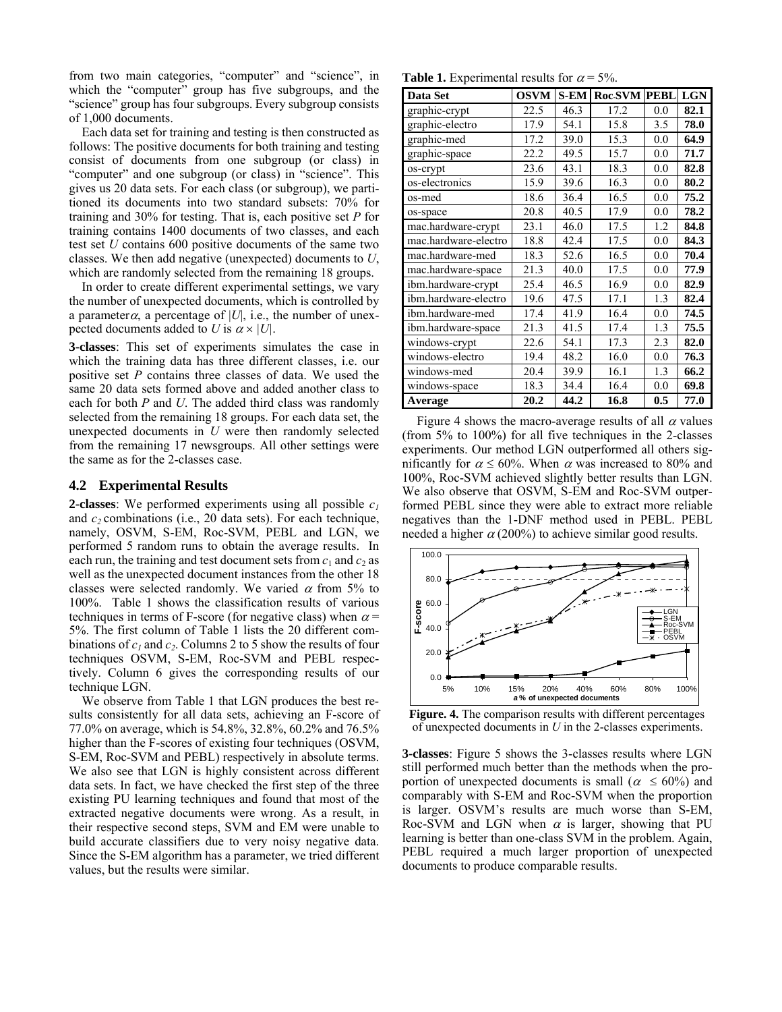from two main categories, "computer" and "science", in which the "computer" group has five subgroups, and the "science" group has four subgroups. Every subgroup consists of 1,000 documents.

Each data set for training and testing is then constructed as follows: The positive documents for both training and testing consist of documents from one subgroup (or class) in "computer" and one subgroup (or class) in "science". This gives us 20 data sets. For each class (or subgroup), we partitioned its documents into two standard subsets: 70% for training and 30% for testing. That is, each positive set *P* for training contains 1400 documents of two classes, and each test set *U* contains 600 positive documents of the same two classes. We then add negative (unexpected) documents to *U*, which are randomly selected from the remaining 18 groups.

In order to create different experimental settings, we vary the number of unexpected documents, which is controlled by a parameter $\alpha$ , a percentage of |U|, i.e., the number of unexpected documents added to *U* is  $\alpha \times |U|$ .

**3-classes**: This set of experiments simulates the case in which the training data has three different classes, i.e. our positive set *P* contains three classes of data. We used the same 20 data sets formed above and added another class to each for both *P* and *U*. The added third class was randomly selected from the remaining 18 groups. For each data set, the unexpected documents in *U* were then randomly selected from the remaining 17 newsgroups. All other settings were the same as for the 2-classes case.

#### **4.2 Experimental Results**

**2-classes**: We performed experiments using all possible *c1* and  $c_2$  combinations (i.e., 20 data sets). For each technique, namely, OSVM, S-EM, Roc-SVM, PEBL and LGN, we performed 5 random runs to obtain the average results. In each run, the training and test document sets from  $c_1$  and  $c_2$  as well as the unexpected document instances from the other 18 classes were selected randomly. We varied  $\alpha$  from 5% to 100%. Table 1 shows the classification results of various techniques in terms of F-score (for negative class) when  $\alpha$  = 5%. The first column of Table 1 lists the 20 different combinations of  $c_1$  and  $c_2$ . Columns 2 to 5 show the results of four techniques OSVM, S-EM, Roc-SVM and PEBL respectively. Column 6 gives the corresponding results of our technique LGN.

We observe from Table 1 that LGN produces the best results consistently for all data sets, achieving an F-score of 77.0% on average, which is 54.8%, 32.8%, 60.2% and 76.5% higher than the F-scores of existing four techniques (OSVM, S-EM, Roc-SVM and PEBL) respectively in absolute terms. We also see that LGN is highly consistent across different data sets. In fact, we have checked the first step of the three existing PU learning techniques and found that most of the extracted negative documents were wrong. As a result, in their respective second steps, SVM and EM were unable to build accurate classifiers due to very noisy negative data. Since the S-EM algorithm has a parameter, we tried different values, but the results were similar.

**Table 1.** Experimental results for  $\alpha = 5\%$ .

| Data Set             | <b>OSVM</b> | $S-EM$ | <b>Roc-SVM PEBL</b> |     | <b>LGN</b> |
|----------------------|-------------|--------|---------------------|-----|------------|
| graphic-crypt        | 22.5        | 46.3   | 17.2                | 0.0 | 82.1       |
| graphic-electro      | 17.9        | 54.1   | 15.8                | 3.5 | 78.0       |
| graphic-med          | 17.2        | 39.0   | 15.3                | 0.0 | 64.9       |
| graphic-space        | 22.2        | 49.5   | 15.7                | 0.0 | 71.7       |
| os-crypt             | 23.6        | 43.1   | 18.3                | 0.0 | 82.8       |
| os-electronics       | 15.9        | 39.6   | 16.3                | 0.0 | 80.2       |
| os-med               | 18.6        | 36.4   | 16.5                | 0.0 | 75.2       |
| os-space             | 20.8        | 40.5   | 17.9                | 0.0 | 78.2       |
| mac.hardware-crypt   | 23.1        | 46.0   | 17.5                | 1.2 | 84.8       |
| mac.hardware-electro | 18.8        | 42.4   | 17.5                | 0.0 | 84.3       |
| mac.hardware-med     | 18.3        | 52.6   | 16.5                | 0.0 | 70.4       |
| mac.hardware-space   | 21.3        | 40.0   | 17.5                | 0.0 | 77.9       |
| ibm.hardware-crypt   | 25.4        | 46.5   | 16.9                | 0.0 | 82.9       |
| ibm.hardware-electro | 19.6        | 47.5   | 17.1                | 1.3 | 82.4       |
| ibm.hardware-med     | 17.4        | 41.9   | 16.4                | 0.0 | 74.5       |
| ibm.hardware-space   | 21.3        | 41.5   | 17.4                | 1.3 | 75.5       |
| windows-crypt        | 22.6        | 54.1   | 17.3                | 2.3 | 82.0       |
| windows-electro      | 19.4        | 48.2   | 16.0                | 0.0 | 76.3       |
| windows-med          | 20.4        | 39.9   | 16.1                | 1.3 | 66.2       |
| windows-space        | 18.3        | 34.4   | 16.4                | 0.0 | 69.8       |
| Average              | 20.2        | 44.2   | 16.8                | 0.5 | 77.0       |

Figure 4 shows the macro-average results of all  $\alpha$  values (from 5% to 100%) for all five techniques in the 2-classes experiments. Our method LGN outperformed all others significantly for  $\alpha \le 60\%$ . When  $\alpha$  was increased to 80% and 100%, Roc-SVM achieved slightly better results than LGN. We also observe that OSVM, S-EM and Roc-SVM outperformed PEBL since they were able to extract more reliable negatives than the 1-DNF method used in PEBL. PEBL needed a higher  $\alpha$  (200%) to achieve similar good results.



**Figure. 4.** The comparison results with different percentages of unexpected documents in *U* in the 2-classes experiments.

**3-classes**: Figure 5 shows the 3-classes results where LGN still performed much better than the methods when the proportion of unexpected documents is small ( $\alpha \leq 60\%$ ) and comparably with S-EM and Roc-SVM when the proportion is larger. OSVM's results are much worse than S-EM, Roc-SVM and LGN when  $\alpha$  is larger, showing that PU learning is better than one-class SVM in the problem. Again, PEBL required a much larger proportion of unexpected documents to produce comparable results.